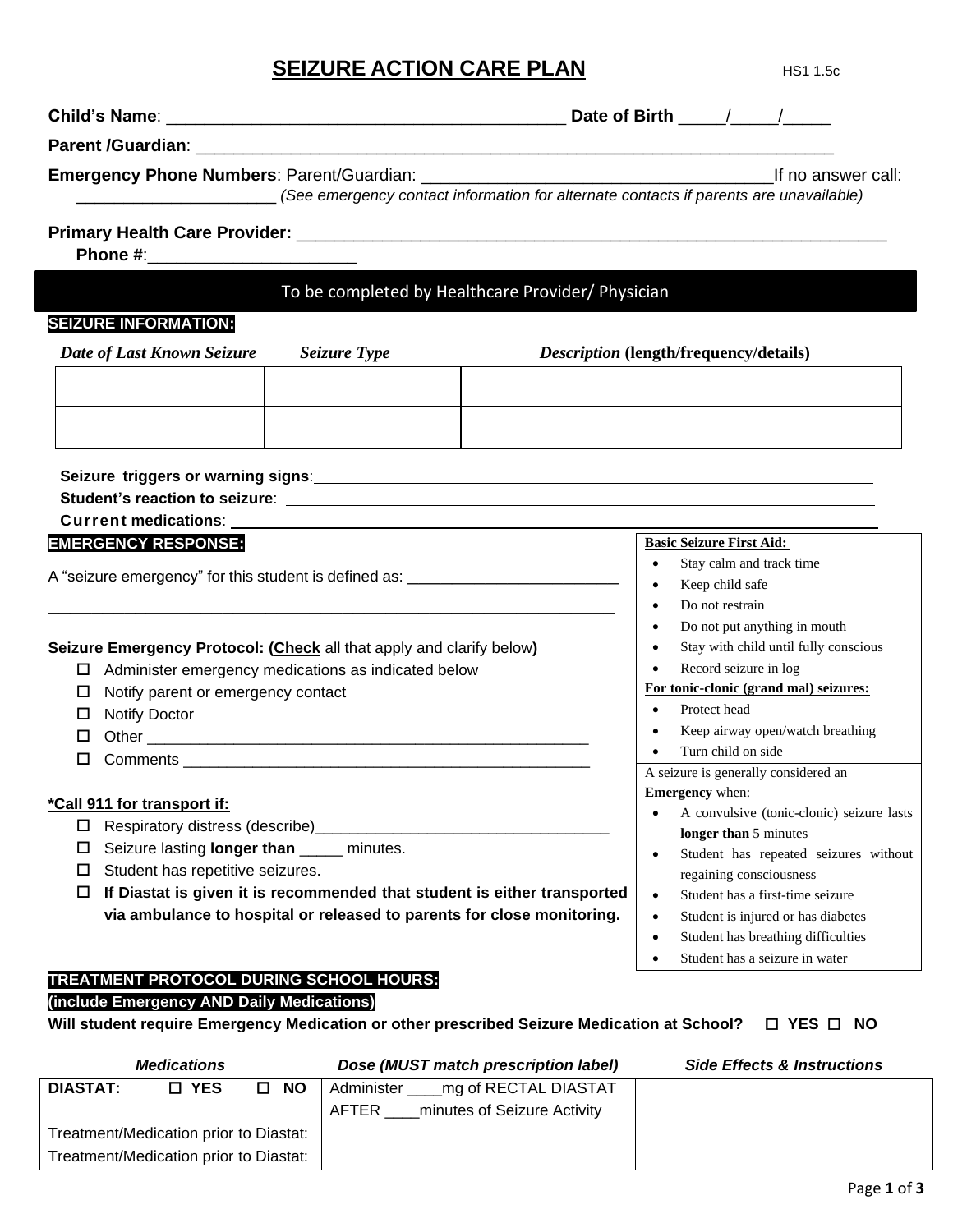# **SEIZURE ACTION CARE PLAN** HS1 1.5c

|                                                                                                                                                                                                                                                               | (See emergency contact information for alternate contacts if parents are unavailable)                                                                                                                                         |                                                                                                                                                                                                                                                                                                                                 | If no answer call:                                                                                                                                                                                                                                                                                       |
|---------------------------------------------------------------------------------------------------------------------------------------------------------------------------------------------------------------------------------------------------------------|-------------------------------------------------------------------------------------------------------------------------------------------------------------------------------------------------------------------------------|---------------------------------------------------------------------------------------------------------------------------------------------------------------------------------------------------------------------------------------------------------------------------------------------------------------------------------|----------------------------------------------------------------------------------------------------------------------------------------------------------------------------------------------------------------------------------------------------------------------------------------------------------|
| Phone #:__________________________                                                                                                                                                                                                                            |                                                                                                                                                                                                                               |                                                                                                                                                                                                                                                                                                                                 |                                                                                                                                                                                                                                                                                                          |
|                                                                                                                                                                                                                                                               | To be completed by Healthcare Provider/ Physician                                                                                                                                                                             |                                                                                                                                                                                                                                                                                                                                 |                                                                                                                                                                                                                                                                                                          |
| <b>SEIZURE INFORMATION:</b>                                                                                                                                                                                                                                   |                                                                                                                                                                                                                               |                                                                                                                                                                                                                                                                                                                                 |                                                                                                                                                                                                                                                                                                          |
| Date of Last Known Seizure                                                                                                                                                                                                                                    | Seizure Type                                                                                                                                                                                                                  |                                                                                                                                                                                                                                                                                                                                 | <i>Description</i> (length/frequency/details)                                                                                                                                                                                                                                                            |
|                                                                                                                                                                                                                                                               |                                                                                                                                                                                                                               |                                                                                                                                                                                                                                                                                                                                 |                                                                                                                                                                                                                                                                                                          |
|                                                                                                                                                                                                                                                               |                                                                                                                                                                                                                               |                                                                                                                                                                                                                                                                                                                                 |                                                                                                                                                                                                                                                                                                          |
|                                                                                                                                                                                                                                                               |                                                                                                                                                                                                                               |                                                                                                                                                                                                                                                                                                                                 |                                                                                                                                                                                                                                                                                                          |
|                                                                                                                                                                                                                                                               |                                                                                                                                                                                                                               |                                                                                                                                                                                                                                                                                                                                 |                                                                                                                                                                                                                                                                                                          |
|                                                                                                                                                                                                                                                               |                                                                                                                                                                                                                               |                                                                                                                                                                                                                                                                                                                                 |                                                                                                                                                                                                                                                                                                          |
|                                                                                                                                                                                                                                                               | Current medications: Entry the control of the control of the control of the control of the control of the control of the control of the control of the control of the control of the control of the control of the control of |                                                                                                                                                                                                                                                                                                                                 |                                                                                                                                                                                                                                                                                                          |
| <b>EMERGENCY RESPONSE:</b>                                                                                                                                                                                                                                    |                                                                                                                                                                                                                               |                                                                                                                                                                                                                                                                                                                                 | <b>Basic Seizure First Aid:</b>                                                                                                                                                                                                                                                                          |
| A "seizure emergency" for this student is defined as: __________________________<br>Seizure Emergency Protocol: (Check all that apply and clarify below)<br>Notify parent or emergency contact<br>$\Box$                                                      | $\Box$ Administer emergency medications as indicated below                                                                                                                                                                    |                                                                                                                                                                                                                                                                                                                                 | Stay calm and track time<br>$\bullet$<br>Keep child safe<br>$\bullet$<br>Do not restrain<br>$\bullet$<br>Do not put anything in mouth<br>$\bullet$<br>Stay with child until fully conscious<br>$\bullet$<br>Record seizure in log<br>For tonic-clonic (grand mal) seizures:<br>Protect head<br>$\bullet$ |
| <b>Notify Doctor</b><br>□                                                                                                                                                                                                                                     |                                                                                                                                                                                                                               | Keep airway open/watch breathing<br>$\bullet$                                                                                                                                                                                                                                                                                   |                                                                                                                                                                                                                                                                                                          |
| □<br>П.                                                                                                                                                                                                                                                       |                                                                                                                                                                                                                               |                                                                                                                                                                                                                                                                                                                                 | Turn child on side                                                                                                                                                                                                                                                                                       |
|                                                                                                                                                                                                                                                               |                                                                                                                                                                                                                               |                                                                                                                                                                                                                                                                                                                                 | A seizure is generally considered an                                                                                                                                                                                                                                                                     |
| *Call 911 for transport if:                                                                                                                                                                                                                                   |                                                                                                                                                                                                                               |                                                                                                                                                                                                                                                                                                                                 | <b>Emergency</b> when:                                                                                                                                                                                                                                                                                   |
| □<br>Seizure lasting longer than _____ minutes.<br>□<br>Student has repetitive seizures.<br>$\Box$<br>If Diastat is given it is recommended that student is either transported<br>□<br>via ambulance to hospital or released to parents for close monitoring. |                                                                                                                                                                                                                               | A convulsive (tonic-clonic) seizure lasts<br>longer than 5 minutes<br>Student has repeated seizures without<br>regaining consciousness<br>Student has a first-time seizure<br>$\bullet$<br>Student is injured or has diabetes<br>$\bullet$<br>Student has breathing difficulties<br>$\bullet$<br>Student has a seizure in water |                                                                                                                                                                                                                                                                                                          |
| TREATMENT PROTOCOL DURING SCHOOL HOURS:<br>(include Emergency AND Daily Medications)<br>Will student require Emergency Medication or other prescribed Seizure Medication at School?                                                                           |                                                                                                                                                                                                                               |                                                                                                                                                                                                                                                                                                                                 | $\Box$ YES $\Box$ NO                                                                                                                                                                                                                                                                                     |
| <b>Medications</b>                                                                                                                                                                                                                                            |                                                                                                                                                                                                                               | Dose (MUST match prescription label)                                                                                                                                                                                                                                                                                            | <b>Side Effects &amp; Instructions</b>                                                                                                                                                                                                                                                                   |

|                                        | <i>IVICUICALIOIIS</i> |           | <b>DOSE (MOST MAIGH DIESCHDUCH RIDEI)</b> | <b>SIGE ETIECTS &amp; INSUBGROUS</b> |
|----------------------------------------|-----------------------|-----------|-------------------------------------------|--------------------------------------|
| <b>DIASTAT:</b>                        | <b>D</b> YES          | <b>NO</b> | mg of RECTAL DIASTAT<br>Administer        |                                      |
|                                        |                       |           | minutes of Seizure Activity<br>AFTER      |                                      |
| Treatment/Medication prior to Diastat: |                       |           |                                           |                                      |
| Treatment/Medication prior to Diastat: |                       |           |                                           |                                      |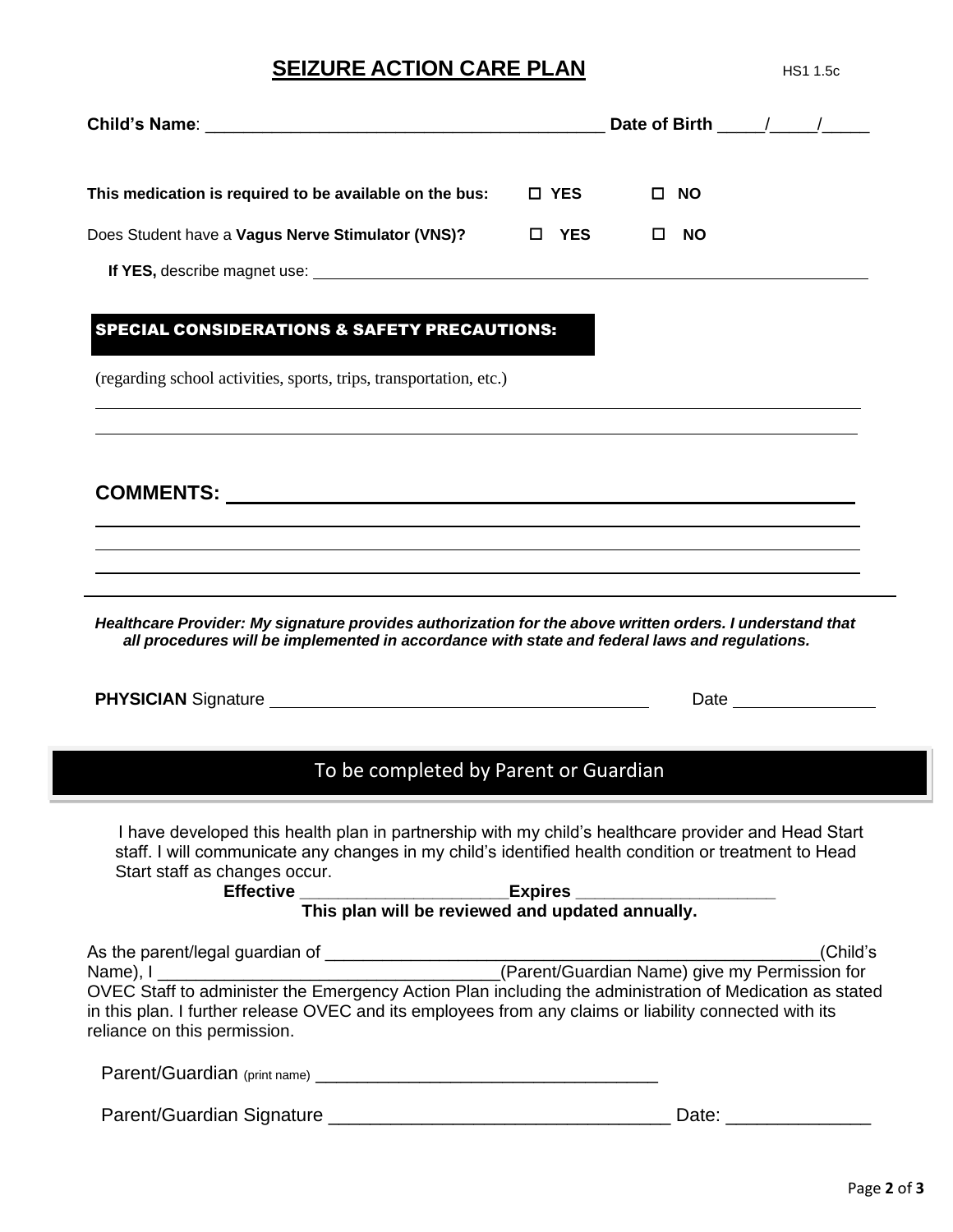### **SEIZURE ACTION CARE PLAN** MS1 1.5c

| This medication is required to be available on the bus: | □ YES    | □ NO           |  |
|---------------------------------------------------------|----------|----------------|--|
| Does Student have a Vagus Nerve Stimulator (VNS)?       | YES<br>ш | <b>NO</b><br>ப |  |
|                                                         |          |                |  |

#### SPECIAL CONSIDERATIONS & SAFETY PRECAUTIONS:

(regarding school activities, sports, trips, transportation, etc.)

**COMMENTS:**

*Healthcare Provider: My signature provides authorization for the above written orders. I understand that all procedures will be implemented in accordance with state and federal laws and regulations.*

**PHYSICIAN** Signature Date

### To be completed by Parent or Guardian

 I have developed this health plan in partnership with my child's healthcare provider and Head Start staff. I will communicate any changes in my child's identified health condition or treatment to Head Start staff as changes occur.

**Effective \_\_\_\_\_\_\_\_\_\_\_\_\_\_\_\_\_\_\_\_\_\_Expires \_\_\_\_\_\_\_\_\_\_\_\_\_\_\_\_\_\_\_\_\_ This plan will be reviewed and updated annually.**

| As the parent/legal guardian of | (Child's                                                                                                                                                                                                          |
|---------------------------------|-------------------------------------------------------------------------------------------------------------------------------------------------------------------------------------------------------------------|
| Name), I                        | (Parent/Guardian Name) give my Permission for                                                                                                                                                                     |
| reliance on this permission.    | OVEC Staff to administer the Emergency Action Plan including the administration of Medication as stated<br>in this plan. I further release OVEC and its employees from any claims or liability connected with its |

Parent/Guardian (print name) \_\_\_\_\_\_\_\_\_\_\_\_\_\_\_\_\_\_\_\_\_\_\_\_\_\_\_\_\_\_\_\_\_

Parent/Guardian Signature \_\_\_\_\_\_\_\_\_\_\_\_\_\_\_\_\_\_\_\_\_\_\_\_\_\_\_\_\_\_\_\_\_ Date: \_\_\_\_\_\_\_\_\_\_\_\_\_\_

<u> 1980 - Johann Barbara, martxa alemaniar amerikan basar da a</u>